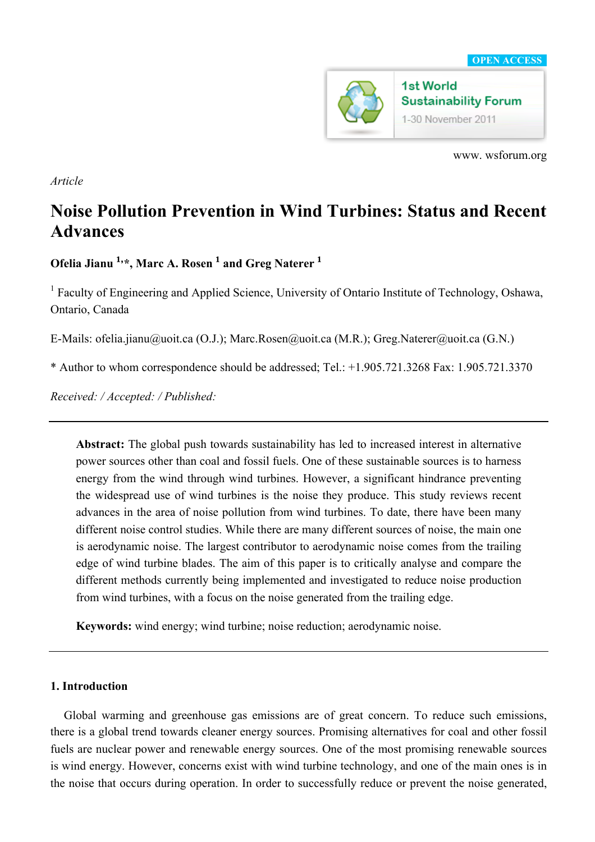www. wsforum.org

*Article*

# **Noise Pollution Prevention in Wind Turbines: Status and Recent Advances**

## **Ofelia Jianu 1,\*, Marc A. Rosen <sup>1</sup> and Greg Naterer <sup>1</sup>**

<sup>1</sup> Faculty of Engineering and Applied Science, University of Ontario Institute of Technology, Oshawa, Ontario, Canada

E-Mails: ofelia.jianu@uoit.ca (O.J.); Marc.Rosen@uoit.ca (M.R.); Greg.Naterer@uoit.ca (G.N.)

\* Author to whom correspondence should be addressed; Tel.: +1.905.721.3268 Fax: 1.905.721.3370

*Received: / Accepted: / Published:* 

**Abstract:** The global push towards sustainability has led to increased interest in alternative power sources other than coal and fossil fuels. One of these sustainable sources is to harness energy from the wind through wind turbines. However, a significant hindrance preventing the widespread use of wind turbines is the noise they produce. This study reviews recent advances in the area of noise pollution from wind turbines. To date, there have been many different noise control studies. While there are many different sources of noise, the main one is aerodynamic noise. The largest contributor to aerodynamic noise comes from the trailing edge of wind turbine blades. The aim of this paper is to critically analyse and compare the different methods currently being implemented and investigated to reduce noise production from wind turbines, with a focus on the noise generated from the trailing edge.

**Keywords:** wind energy; wind turbine; noise reduction; aerodynamic noise.

## **1. Introduction**

Global warming and greenhouse gas emissions are of great concern. To reduce such emissions, there is a global trend towards cleaner energy sources. Promising alternatives for coal and other fossil fuels are nuclear power and renewable energy sources. One of the most promising renewable sources is wind energy. However, concerns exist with wind turbine technology, and one of the main ones is in the noise that occurs during operation. In order to successfully reduce or prevent the noise generated,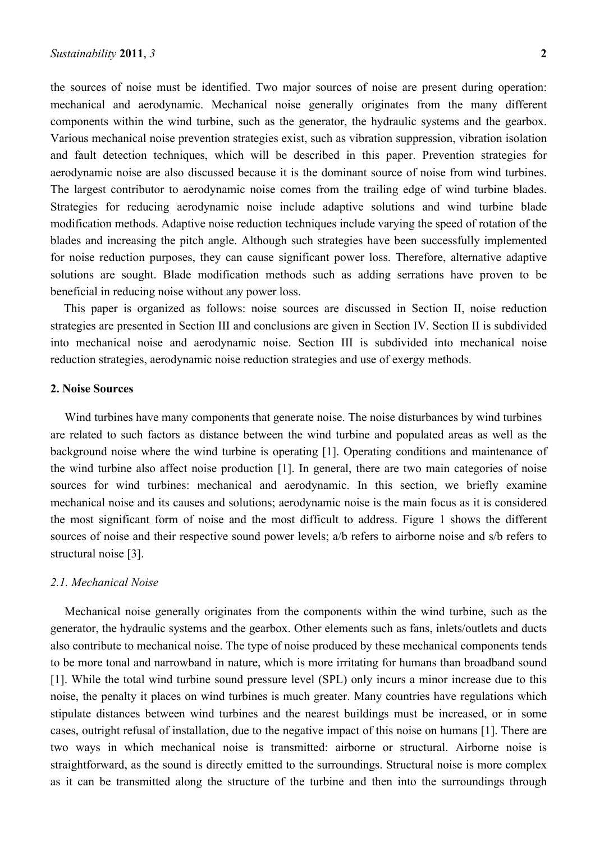the sources of noise must be identified. Two major sources of noise are present during operation: mechanical and aerodynamic. Mechanical noise generally originates from the many different components within the wind turbine, such as the generator, the hydraulic systems and the gearbox. Various mechanical noise prevention strategies exist, such as vibration suppression, vibration isolation and fault detection techniques, which will be described in this paper. Prevention strategies for aerodynamic noise are also discussed because it is the dominant source of noise from wind turbines. The largest contributor to aerodynamic noise comes from the trailing edge of wind turbine blades. Strategies for reducing aerodynamic noise include adaptive solutions and wind turbine blade modification methods. Adaptive noise reduction techniques include varying the speed of rotation of the blades and increasing the pitch angle. Although such strategies have been successfully implemented for noise reduction purposes, they can cause significant power loss. Therefore, alternative adaptive solutions are sought. Blade modification methods such as adding serrations have proven to be beneficial in reducing noise without any power loss.

This paper is organized as follows: noise sources are discussed in Section II, noise reduction strategies are presented in Section III and conclusions are given in Section IV. Section II is subdivided into mechanical noise and aerodynamic noise. Section III is subdivided into mechanical noise reduction strategies, aerodynamic noise reduction strategies and use of exergy methods.

## **2. Noise Sources**

Wind turbines have many components that generate noise. The noise disturbances by wind turbines are related to such factors as distance between the wind turbine and populated areas as well as the background noise where the wind turbine is operating [1]. Operating conditions and maintenance of the wind turbine also affect noise production [1]. In general, there are two main categories of noise sources for wind turbines: mechanical and aerodynamic. In this section, we briefly examine mechanical noise and its causes and solutions; aerodynamic noise is the main focus as it is considered the most significant form of noise and the most difficult to address. Figure 1 shows the different sources of noise and their respective sound power levels; a/b refers to airborne noise and s/b refers to structural noise [3].

#### *2.1. Mechanical Noise*

Mechanical noise generally originates from the components within the wind turbine, such as the generator, the hydraulic systems and the gearbox. Other elements such as fans, inlets/outlets and ducts also contribute to mechanical noise. The type of noise produced by these mechanical components tends to be more tonal and narrowband in nature, which is more irritating for humans than broadband sound [1]. While the total wind turbine sound pressure level (SPL) only incurs a minor increase due to this noise, the penalty it places on wind turbines is much greater. Many countries have regulations which stipulate distances between wind turbines and the nearest buildings must be increased, or in some cases, outright refusal of installation, due to the negative impact of this noise on humans [1]. There are two ways in which mechanical noise is transmitted: airborne or structural. Airborne noise is straightforward, as the sound is directly emitted to the surroundings. Structural noise is more complex as it can be transmitted along the structure of the turbine and then into the surroundings through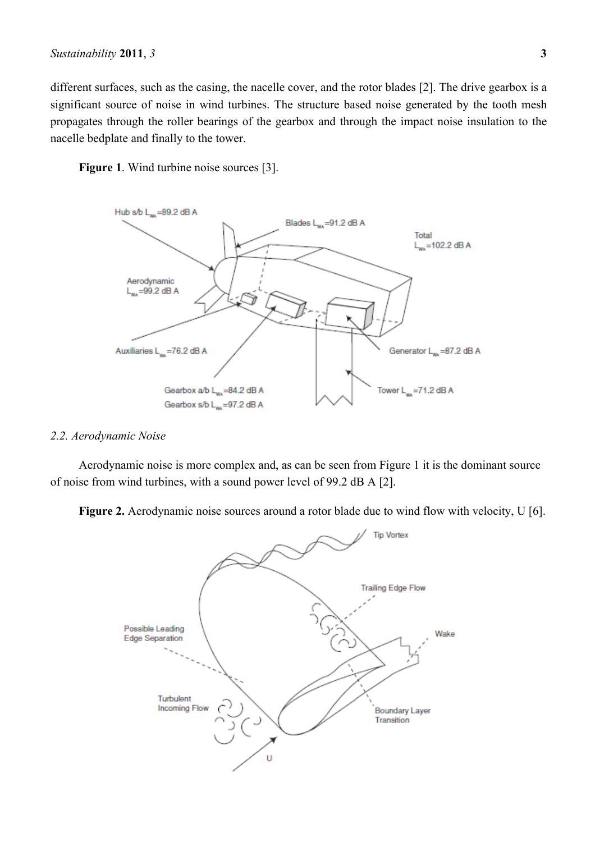different surfaces, such as the casing, the nacelle cover, and the rotor blades [2]. The drive gearbox is a significant source of noise in wind turbines. The structure based noise generated by the tooth mesh propagates through the roller bearings of the gearbox and through the impact noise insulation to the nacelle bedplate and finally to the tower.





#### *2.2. Aerodynamic Noise*

Aerodynamic noise is more complex and, as can be seen from Figure 1 it is the dominant source of noise from wind turbines, with a sound power level of 99.2 dB A [2].

**Figure 2.** Aerodynamic noise sources around a rotor blade due to wind flow with velocity, U [6].

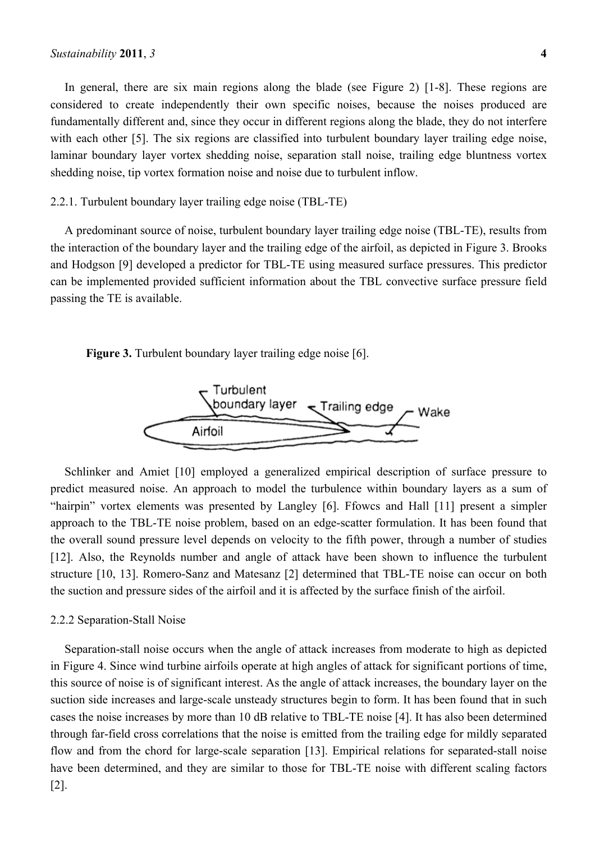In general, there are six main regions along the blade (see Figure 2) [1-8]. These regions are considered to create independently their own specific noises, because the noises produced are fundamentally different and, since they occur in different regions along the blade, they do not interfere with each other [5]. The six regions are classified into turbulent boundary layer trailing edge noise, laminar boundary layer vortex shedding noise, separation stall noise, trailing edge bluntness vortex shedding noise, tip vortex formation noise and noise due to turbulent inflow.

#### 2.2.1. Turbulent boundary layer trailing edge noise (TBL-TE)

A predominant source of noise, turbulent boundary layer trailing edge noise (TBL-TE), results from the interaction of the boundary layer and the trailing edge of the airfoil, as depicted in Figure 3. Brooks and Hodgson [9] developed a predictor for TBL-TE using measured surface pressures. This predictor can be implemented provided sufficient information about the TBL convective surface pressure field passing the TE is available.

**Figure 3.** Turbulent boundary layer trailing edge noise [6].



Schlinker and Amiet [10] employed a generalized empirical description of surface pressure to predict measured noise. An approach to model the turbulence within boundary layers as a sum of "hairpin" vortex elements was presented by Langley [6]. Ffowcs and Hall [11] present a simpler approach to the TBL-TE noise problem, based on an edge-scatter formulation. It has been found that the overall sound pressure level depends on velocity to the fifth power, through a number of studies [12]. Also, the Reynolds number and angle of attack have been shown to influence the turbulent structure [10, 13]. Romero-Sanz and Matesanz [2] determined that TBL-TE noise can occur on both the suction and pressure sides of the airfoil and it is affected by the surface finish of the airfoil.

#### 2.2.2 Separation-Stall Noise

Separation-stall noise occurs when the angle of attack increases from moderate to high as depicted in Figure 4. Since wind turbine airfoils operate at high angles of attack for significant portions of time, this source of noise is of significant interest. As the angle of attack increases, the boundary layer on the suction side increases and large-scale unsteady structures begin to form. It has been found that in such cases the noise increases by more than 10 dB relative to TBL-TE noise [4]. It has also been determined through far-field cross correlations that the noise is emitted from the trailing edge for mildly separated flow and from the chord for large-scale separation [13]. Empirical relations for separated-stall noise have been determined, and they are similar to those for TBL-TE noise with different scaling factors [2].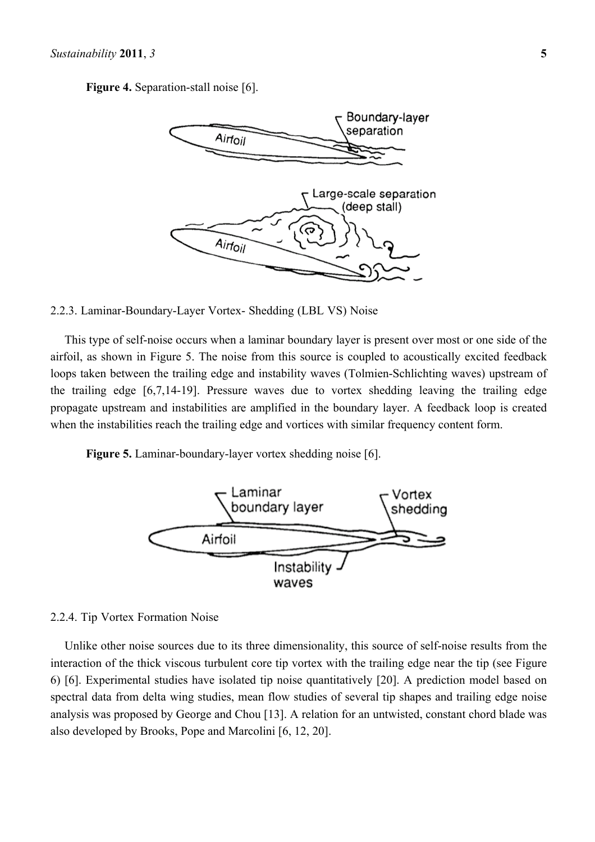**Figure 4.** Separation-stall noise [6].



2.2.3. Laminar-Boundary-Layer Vortex- Shedding (LBL VS) Noise

This type of self-noise occurs when a laminar boundary layer is present over most or one side of the airfoil, as shown in Figure 5. The noise from this source is coupled to acoustically excited feedback loops taken between the trailing edge and instability waves (Tolmien-Schlichting waves) upstream of the trailing edge [6,7,14-19]. Pressure waves due to vortex shedding leaving the trailing edge propagate upstream and instabilities are amplified in the boundary layer. A feedback loop is created when the instabilities reach the trailing edge and vortices with similar frequency content form.

**Figure 5.** Laminar-boundary-layer vortex shedding noise [6].



2.2.4. Tip Vortex Formation Noise

Unlike other noise sources due to its three dimensionality, this source of self-noise results from the interaction of the thick viscous turbulent core tip vortex with the trailing edge near the tip (see Figure 6) [6]. Experimental studies have isolated tip noise quantitatively [20]. A prediction model based on spectral data from delta wing studies, mean flow studies of several tip shapes and trailing edge noise analysis was proposed by George and Chou [13]. A relation for an untwisted, constant chord blade was also developed by Brooks, Pope and Marcolini [6, 12, 20].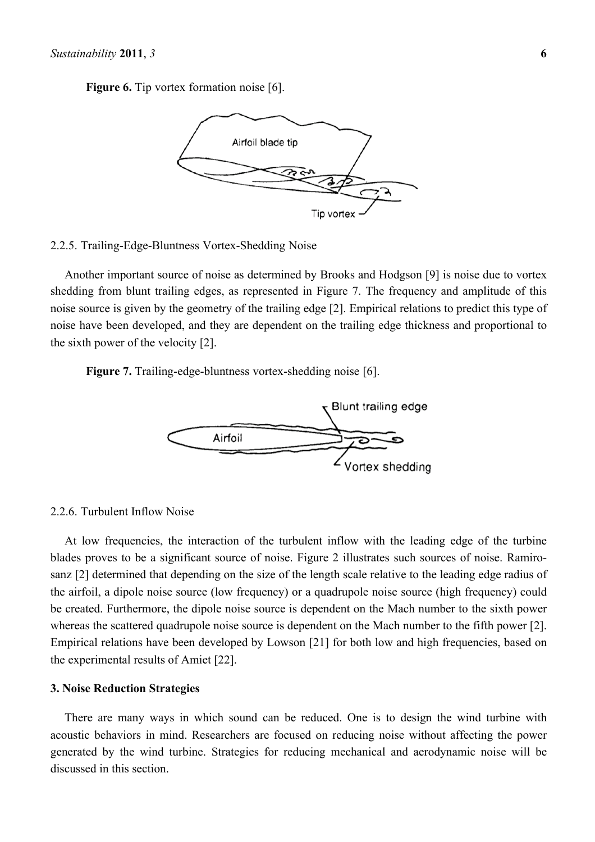**Figure 6.** Tip vortex formation noise [6].



2.2.5. Trailing-Edge-Bluntness Vortex-Shedding Noise

Another important source of noise as determined by Brooks and Hodgson [9] is noise due to vortex shedding from blunt trailing edges, as represented in Figure 7. The frequency and amplitude of this noise source is given by the geometry of the trailing edge [2]. Empirical relations to predict this type of noise have been developed, and they are dependent on the trailing edge thickness and proportional to the sixth power of the velocity [2].

**Figure 7.** Trailing-edge-bluntness vortex-shedding noise [6].



#### 2.2.6. Turbulent Inflow Noise

At low frequencies, the interaction of the turbulent inflow with the leading edge of the turbine blades proves to be a significant source of noise. Figure 2 illustrates such sources of noise. Ramirosanz [2] determined that depending on the size of the length scale relative to the leading edge radius of the airfoil, a dipole noise source (low frequency) or a quadrupole noise source (high frequency) could be created. Furthermore, the dipole noise source is dependent on the Mach number to the sixth power whereas the scattered quadrupole noise source is dependent on the Mach number to the fifth power [2]. Empirical relations have been developed by Lowson [21] for both low and high frequencies, based on the experimental results of Amiet [22].

#### **3. Noise Reduction Strategies**

There are many ways in which sound can be reduced. One is to design the wind turbine with acoustic behaviors in mind. Researchers are focused on reducing noise without affecting the power generated by the wind turbine. Strategies for reducing mechanical and aerodynamic noise will be discussed in this section.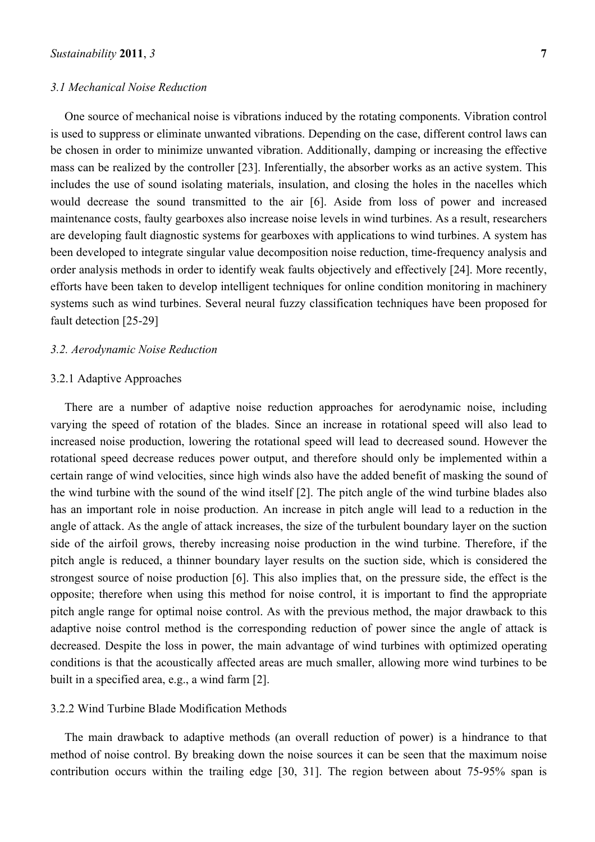#### *3.1 Mechanical Noise Reduction*

One source of mechanical noise is vibrations induced by the rotating components. Vibration control is used to suppress or eliminate unwanted vibrations. Depending on the case, different control laws can be chosen in order to minimize unwanted vibration. Additionally, damping or increasing the effective mass can be realized by the controller [23]. Inferentially, the absorber works as an active system. This includes the use of sound isolating materials, insulation, and closing the holes in the nacelles which would decrease the sound transmitted to the air [6]. Aside from loss of power and increased maintenance costs, faulty gearboxes also increase noise levels in wind turbines. As a result, researchers are developing fault diagnostic systems for gearboxes with applications to wind turbines. A system has been developed to integrate singular value decomposition noise reduction, time-frequency analysis and order analysis methods in order to identify weak faults objectively and effectively [24]. More recently, efforts have been taken to develop intelligent techniques for online condition monitoring in machinery systems such as wind turbines. Several neural fuzzy classification techniques have been proposed for fault detection [25-29]

#### *3.2. Aerodynamic Noise Reduction*

#### 3.2.1 Adaptive Approaches

There are a number of adaptive noise reduction approaches for aerodynamic noise, including varying the speed of rotation of the blades. Since an increase in rotational speed will also lead to increased noise production, lowering the rotational speed will lead to decreased sound. However the rotational speed decrease reduces power output, and therefore should only be implemented within a certain range of wind velocities, since high winds also have the added benefit of masking the sound of the wind turbine with the sound of the wind itself [2]. The pitch angle of the wind turbine blades also has an important role in noise production. An increase in pitch angle will lead to a reduction in the angle of attack. As the angle of attack increases, the size of the turbulent boundary layer on the suction side of the airfoil grows, thereby increasing noise production in the wind turbine. Therefore, if the pitch angle is reduced, a thinner boundary layer results on the suction side, which is considered the strongest source of noise production [6]. This also implies that, on the pressure side, the effect is the opposite; therefore when using this method for noise control, it is important to find the appropriate pitch angle range for optimal noise control. As with the previous method, the major drawback to this adaptive noise control method is the corresponding reduction of power since the angle of attack is decreased. Despite the loss in power, the main advantage of wind turbines with optimized operating conditions is that the acoustically affected areas are much smaller, allowing more wind turbines to be built in a specified area, e.g., a wind farm [2].

### 3.2.2 Wind Turbine Blade Modification Methods

The main drawback to adaptive methods (an overall reduction of power) is a hindrance to that method of noise control. By breaking down the noise sources it can be seen that the maximum noise contribution occurs within the trailing edge [30, 31]. The region between about 75-95% span is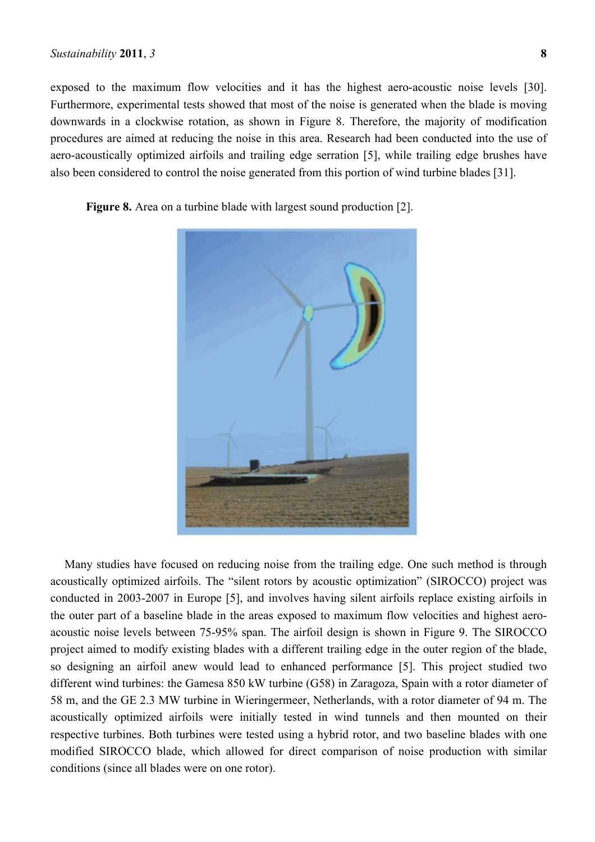exposed to the maximum flow velocities and it has the highest aero-acoustic noise levels [30]. Furthermore, experimental tests showed that most of the noise is generated when the blade is moving downwards in a clockwise rotation, as shown in Figure 8. Therefore, the majority of modification procedures are aimed at reducing the noise in this area. Research had been conducted into the use of aero-acoustically optimized airfoils and trailing edge serration [5], while trailing edge brushes have also been considered to control the noise generated from this portion of wind turbine blades [31].



**Figure 8.** Area on a turbine blade with largest sound production [2].

Many studies have focused on reducing noise from the trailing edge. One such method is through acoustically optimized airfoils. The "silent rotors by acoustic optimization" (SIROCCO) project was conducted in 2003-2007 in Europe [5], and involves having silent airfoils replace existing airfoils in the outer part of a baseline blade in the areas exposed to maximum flow velocities and highest aeroacoustic noise levels between 75-95% span. The airfoil design is shown in Figure 9. The SIROCCO project aimed to modify existing blades with a different trailing edge in the outer region of the blade, so designing an airfoil anew would lead to enhanced performance [5]. This project studied two different wind turbines: the Gamesa 850 kW turbine (G58) in Zaragoza, Spain with a rotor diameter of 58 m, and the GE 2.3 MW turbine in Wieringermeer, Netherlands, with a rotor diameter of 94 m. The acoustically optimized airfoils were initially tested in wind tunnels and then mounted on their respective turbines. Both turbines were tested using a hybrid rotor, and two baseline blades with one modified SIROCCO blade, which allowed for direct comparison of noise production with similar conditions (since all blades were on one rotor).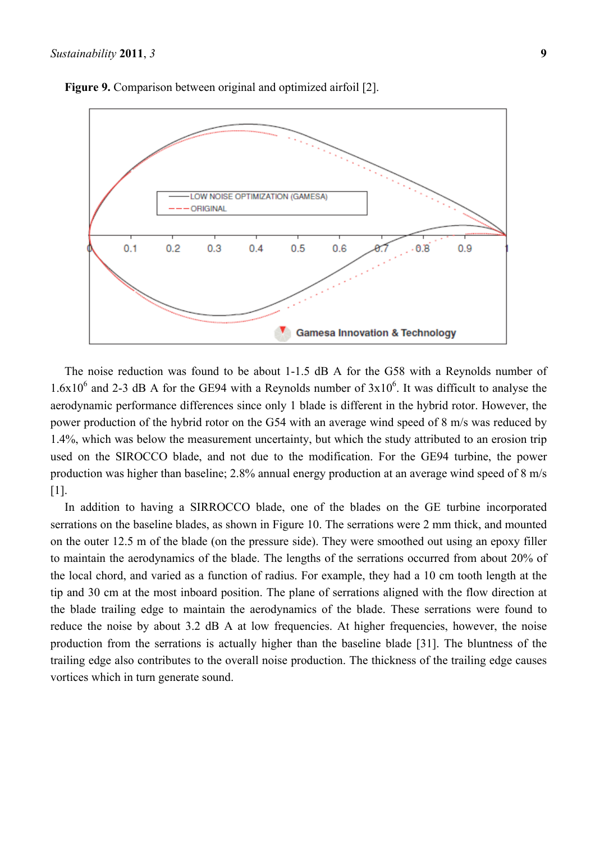

**Figure 9.** Comparison between original and optimized airfoil [2].

The noise reduction was found to be about 1-1.5 dB A for the G58 with a Reynolds number of  $1.6x10^6$  and 2-3 dB A for the GE94 with a Reynolds number of  $3x10^6$ . It was difficult to analyse the aerodynamic performance differences since only 1 blade is different in the hybrid rotor. However, the power production of the hybrid rotor on the G54 with an average wind speed of 8 m/s was reduced by 1.4%, which was below the measurement uncertainty, but which the study attributed to an erosion trip used on the SIROCCO blade, and not due to the modification. For the GE94 turbine, the power production was higher than baseline; 2.8% annual energy production at an average wind speed of 8 m/s [1].

In addition to having a SIRROCCO blade, one of the blades on the GE turbine incorporated serrations on the baseline blades, as shown in Figure 10. The serrations were 2 mm thick, and mounted on the outer 12.5 m of the blade (on the pressure side). They were smoothed out using an epoxy filler to maintain the aerodynamics of the blade. The lengths of the serrations occurred from about 20% of the local chord, and varied as a function of radius. For example, they had a 10 cm tooth length at the tip and 30 cm at the most inboard position. The plane of serrations aligned with the flow direction at the blade trailing edge to maintain the aerodynamics of the blade. These serrations were found to reduce the noise by about 3.2 dB A at low frequencies. At higher frequencies, however, the noise production from the serrations is actually higher than the baseline blade [31]. The bluntness of the trailing edge also contributes to the overall noise production. The thickness of the trailing edge causes vortices which in turn generate sound.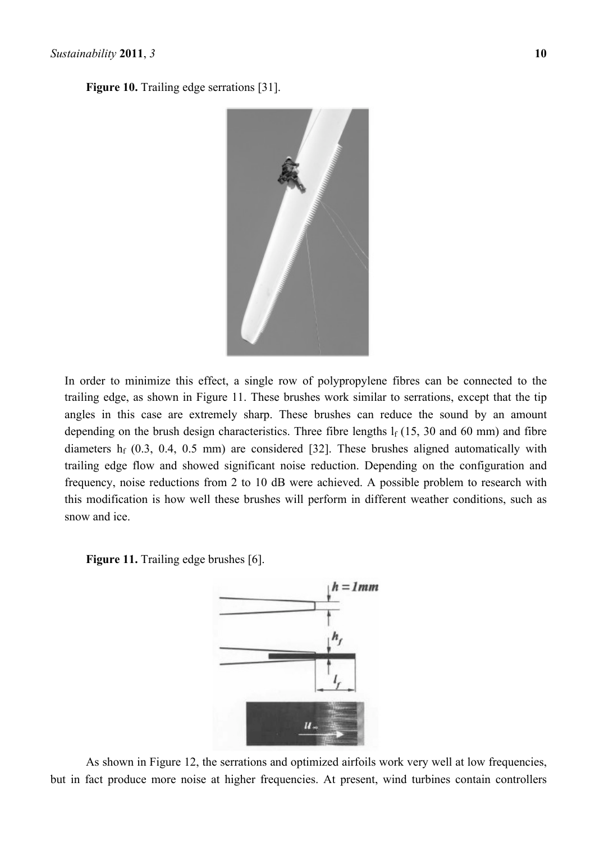**Figure 10.** Trailing edge serrations [31].



In order to minimize this effect, a single row of polypropylene fibres can be connected to the trailing edge, as shown in Figure 11. These brushes work similar to serrations, except that the tip angles in this case are extremely sharp. These brushes can reduce the sound by an amount depending on the brush design characteristics. Three fibre lengths  $l_f$  (15, 30 and 60 mm) and fibre diameters  $h_f$  (0.3, 0.4, 0.5 mm) are considered [32]. These brushes aligned automatically with trailing edge flow and showed significant noise reduction. Depending on the configuration and frequency, noise reductions from 2 to 10 dB were achieved. A possible problem to research with this modification is how well these brushes will perform in different weather conditions, such as snow and ice.





As shown in Figure 12, the serrations and optimized airfoils work very well at low frequencies, but in fact produce more noise at higher frequencies. At present, wind turbines contain controllers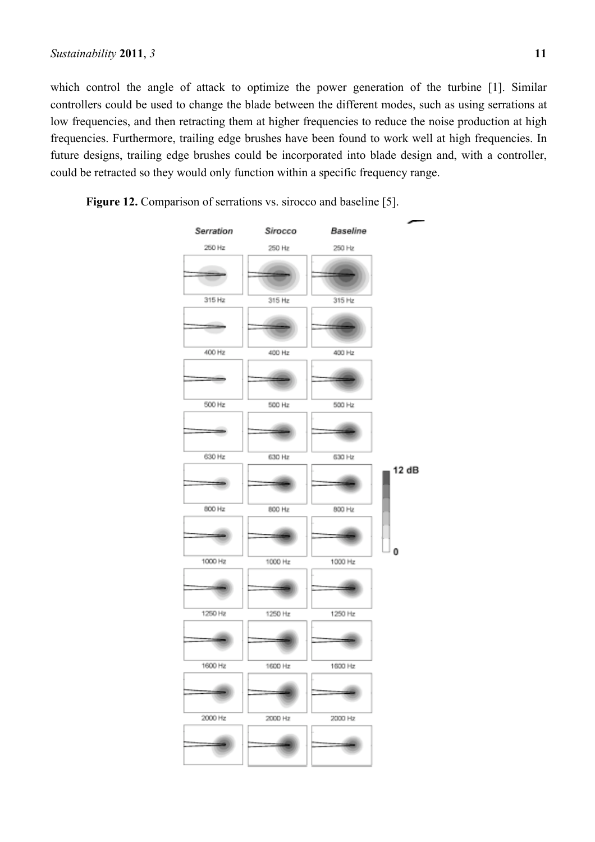which control the angle of attack to optimize the power generation of the turbine [1]. Similar controllers could be used to change the blade between the different modes, such as using serrations at low frequencies, and then retracting them at higher frequencies to reduce the noise production at high frequencies. Furthermore, trailing edge brushes have been found to work well at high frequencies. In future designs, trailing edge brushes could be incorporated into blade design and, with a controller, could be retracted so they would only function within a specific frequency range.



**Figure 12.** Comparison of serrations vs. sirocco and baseline [5].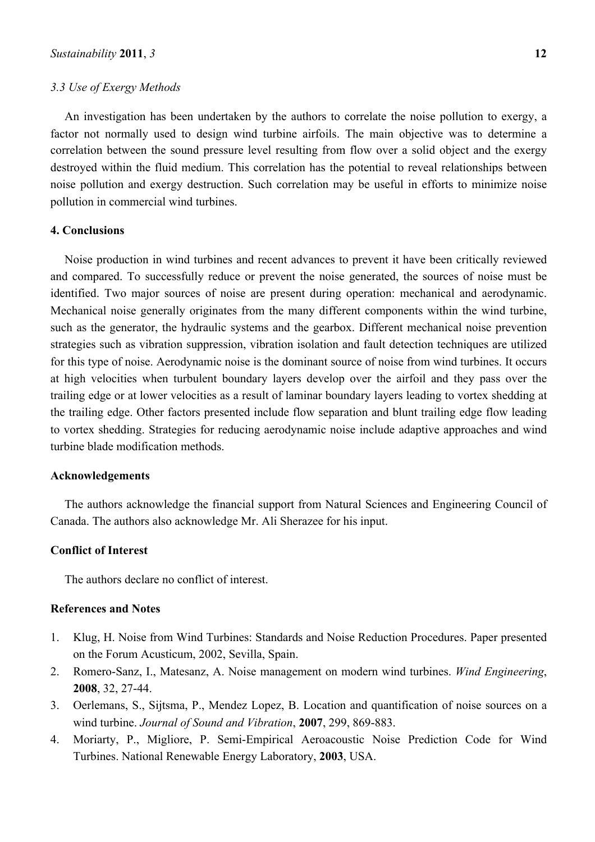#### *3.3 Use of Exergy Methods*

An investigation has been undertaken by the authors to correlate the noise pollution to exergy, a factor not normally used to design wind turbine airfoils. The main objective was to determine a correlation between the sound pressure level resulting from flow over a solid object and the exergy destroyed within the fluid medium. This correlation has the potential to reveal relationships between noise pollution and exergy destruction. Such correlation may be useful in efforts to minimize noise pollution in commercial wind turbines.

#### **4. Conclusions**

Noise production in wind turbines and recent advances to prevent it have been critically reviewed and compared. To successfully reduce or prevent the noise generated, the sources of noise must be identified. Two major sources of noise are present during operation: mechanical and aerodynamic. Mechanical noise generally originates from the many different components within the wind turbine, such as the generator, the hydraulic systems and the gearbox. Different mechanical noise prevention strategies such as vibration suppression, vibration isolation and fault detection techniques are utilized for this type of noise. Aerodynamic noise is the dominant source of noise from wind turbines. It occurs at high velocities when turbulent boundary layers develop over the airfoil and they pass over the trailing edge or at lower velocities as a result of laminar boundary layers leading to vortex shedding at the trailing edge. Other factors presented include flow separation and blunt trailing edge flow leading to vortex shedding. Strategies for reducing aerodynamic noise include adaptive approaches and wind turbine blade modification methods.

## **Acknowledgements**

The authors acknowledge the financial support from Natural Sciences and Engineering Council of Canada. The authors also acknowledge Mr. Ali Sherazee for his input.

#### **Conflict of Interest**

The authors declare no conflict of interest.

#### **References and Notes**

- 1. Klug, H. Noise from Wind Turbines: Standards and Noise Reduction Procedures. Paper presented on the Forum Acusticum, 2002, Sevilla, Spain.
- 2. Romero-Sanz, I., Matesanz, A. Noise management on modern wind turbines. *Wind Engineering*, **2008**, 32, 27-44.
- 3. Oerlemans, S., Sijtsma, P., Mendez Lopez, B. Location and quantification of noise sources on a wind turbine. *Journal of Sound and Vibration*, **2007**, 299, 869-883.
- 4. Moriarty, P., Migliore, P. Semi-Empirical Aeroacoustic Noise Prediction Code for Wind Turbines. National Renewable Energy Laboratory, **2003**, USA.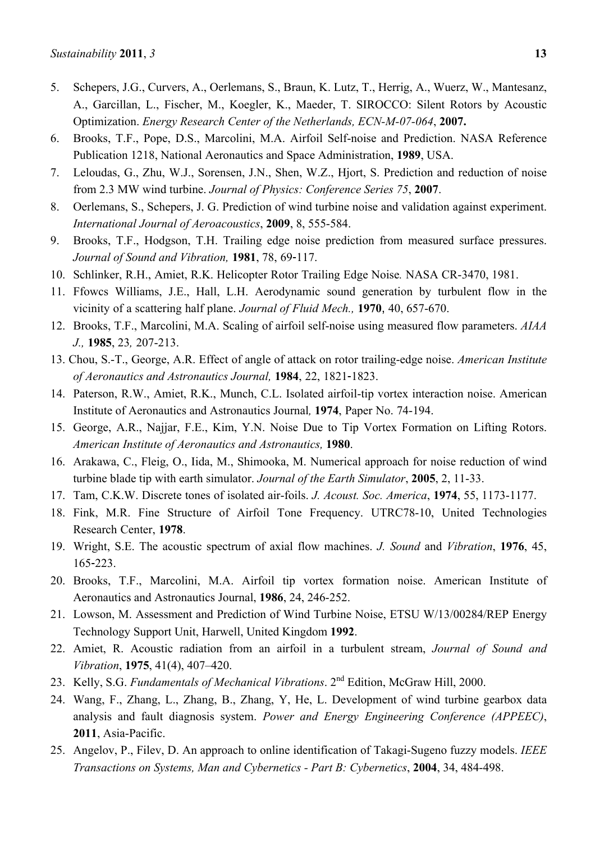- 5. Schepers, J.G., Curvers, A., Oerlemans, S., Braun, K. Lutz, T., Herrig, A., Wuerz, W., Mantesanz, A., Garcillan, L., Fischer, M., Koegler, K., Maeder, T. SIROCCO: Silent Rotors by Acoustic Optimization. *Energy Research Center of the Netherlands, ECN-M-07-064*, **2007.**
- 6. Brooks, T.F., Pope, D.S., Marcolini, M.A. Airfoil Self-noise and Prediction. NASA Reference Publication 1218, National Aeronautics and Space Administration, **1989**, USA.
- 7. Leloudas, G., Zhu, W.J., Sorensen, J.N., Shen, W.Z., Hjort, S. Prediction and reduction of noise from 2.3 MW wind turbine. *Journal of Physics: Conference Series 75*, **2007**.
- 8. Oerlemans, S., Schepers, J. G. Prediction of wind turbine noise and validation against experiment. *International Journal of Aeroacoustics*, **2009**, 8, 555-584.
- 9. Brooks, T.F., Hodgson, T.H. Trailing edge noise prediction from measured surface pressures. *Journal of Sound and Vibration,* **1981**, 78, 69-117.
- 10. Schlinker, R.H., Amiet, R.K. Helicopter Rotor Trailing Edge Noise*.* NASA CR-3470, 1981.
- 11. Ffowcs Williams, J.E., Hall, L.H. Aerodynamic sound generation by turbulent flow in the vicinity of a scattering half plane. *Journal of Fluid Mech.,* **1970**, 40, 657-670.
- 12. Brooks, T.F., Marcolini, M.A. Scaling of airfoil self-noise using measured flow parameters. *AIAA J.,* **1985**, 23*,* 207-213.
- 13. Chou, S.-T., George, A.R. Effect of angle of attack on rotor trailing-edge noise. *American Institute of Aeronautics and Astronautics Journal,* **1984**, 22, 1821-1823.
- 14. Paterson, R.W., Amiet, R.K., Munch, C.L. Isolated airfoil-tip vortex interaction noise. American Institute of Aeronautics and Astronautics Journal*,* **1974**, Paper No. 74-194.
- 15. George, A.R., Najjar, F.E., Kim, Y.N. Noise Due to Tip Vortex Formation on Lifting Rotors. *American Institute of Aeronautics and Astronautics,* **1980**.
- 16. Arakawa, C., Fleig, O., Iida, M., Shimooka, M. Numerical approach for noise reduction of wind turbine blade tip with earth simulator. *Journal of the Earth Simulator*, **2005**, 2, 11-33.
- 17. Tam, C.K.W. Discrete tones of isolated air-foils. *J. Acoust. Soc. America*, **1974**, 55, 1173-1177.
- 18. Fink, M.R. Fine Structure of Airfoil Tone Frequency. UTRC78-10, United Technologies Research Center, **1978**.
- 19. Wright, S.E. The acoustic spectrum of axial flow machines. *J. Sound* and *Vibration*, **1976**, 45, 165-223.
- 20. Brooks, T.F., Marcolini, M.A. Airfoil tip vortex formation noise. American Institute of Aeronautics and Astronautics Journal, **1986**, 24, 246-252.
- 21. Lowson, M. Assessment and Prediction of Wind Turbine Noise, ETSU W/13/00284/REP Energy Technology Support Unit, Harwell, United Kingdom **1992**.
- 22. Amiet, R. Acoustic radiation from an airfoil in a turbulent stream, *Journal of Sound and Vibration*, **1975**, 41(4), 407–420.
- 23. Kelly, S.G. *Fundamentals of Mechanical Vibrations*. 2nd Edition, McGraw Hill, 2000.
- 24. Wang, F., Zhang, L., Zhang, B., Zhang, Y, He, L. Development of wind turbine gearbox data analysis and fault diagnosis system. *Power and Energy Engineering Conference (APPEEC)*, **2011**, Asia-Pacific.
- 25. Angelov, P., Filev, D. An approach to online identification of Takagi-Sugeno fuzzy models. *IEEE Transactions on Systems, Man and Cybernetics - Part B: Cybernetics*, **2004**, 34, 484-498.